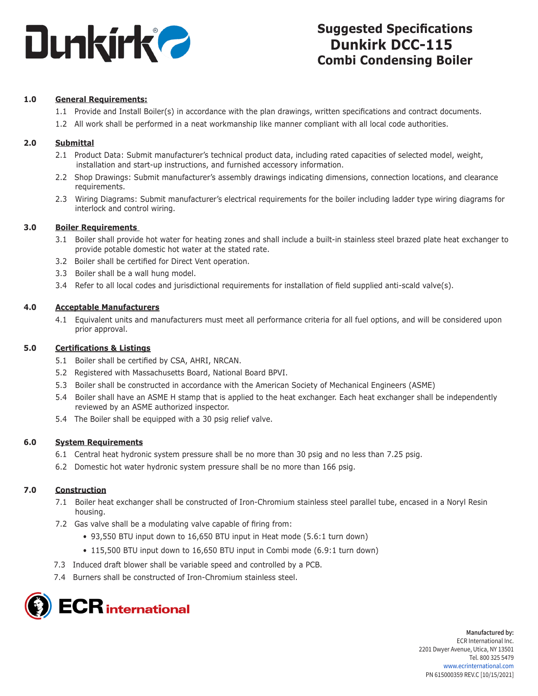

# **Suggested Specifications Dunkirk DCC-115 Combi Condensing Boiler**

## **1.0 General Requirements:**

- 1.1 Provide and Install Boiler(s) in accordance with the plan drawings, written specifications and contract documents.
- 1.2 All work shall be performed in a neat workmanship like manner compliant with all local code authorities.

## **2.0 Submittal**

- 2.1 Product Data: Submit manufacturer's technical product data, including rated capacities of selected model, weight, installation and start-up instructions, and furnished accessory information.
- 2.2 Shop Drawings: Submit manufacturer's assembly drawings indicating dimensions, connection locations, and clearance requirements.
- 2.3 Wiring Diagrams: Submit manufacturer's electrical requirements for the boiler including ladder type wiring diagrams for interlock and control wiring.

#### **3.0 Boiler Requirements**

- 3.1 Boiler shall provide hot water for heating zones and shall include a built-in stainless steel brazed plate heat exchanger to provide potable domestic hot water at the stated rate.
- 3.2 Boiler shall be certified for Direct Vent operation.
- 3.3 Boiler shall be a wall hung model.
- 3.4 Refer to all local codes and jurisdictional requirements for installation of field supplied anti-scald valve(s).

#### **4.0 Acceptable Manufacturers**

4.1 Equivalent units and manufacturers must meet all performance criteria for all fuel options, and will be considered upon prior approval.

#### **5.0 Certifications & Listings**

- 5.1 Boiler shall be certified by CSA, AHRI, NRCAN.
- 5.2 Registered with Massachusetts Board, National Board BPVI.
- 5.3 Boiler shall be constructed in accordance with the American Society of Mechanical Engineers (ASME)
- 5.4 Boiler shall have an ASME H stamp that is applied to the heat exchanger. Each heat exchanger shall be independently reviewed by an ASME authorized inspector.
- 5.4 The Boiler shall be equipped with a 30 psig relief valve.

#### **6.0 System Requirements**

- 6.1 Central heat hydronic system pressure shall be no more than 30 psig and no less than 7.25 psig.
- 6.2 Domestic hot water hydronic system pressure shall be no more than 166 psig.

#### **7.0 Construction**

- 7.1 Boiler heat exchanger shall be constructed of Iron-Chromium stainless steel parallel tube, encased in a Noryl Resin housing.
- 7.2 Gas valve shall be a modulating valve capable of firing from:
	- 93,550 BTU input down to 16,650 BTU input in Heat mode (5.6:1 turn down)
	- 115,500 BTU input down to 16,650 BTU input in Combi mode (6.9:1 turn down)
- 7.3 Induced draft blower shall be variable speed and controlled by a PCB.
- 7.4 Burners shall be constructed of Iron-Chromium stainless steel.



**Manufactured by:** ECR International Inc. 2201 Dwyer Avenue, Utica, NY 13501 Tel. 800 325 5479 www.ecrinternational.com PN 615000359 REV.C [10/15/2021]